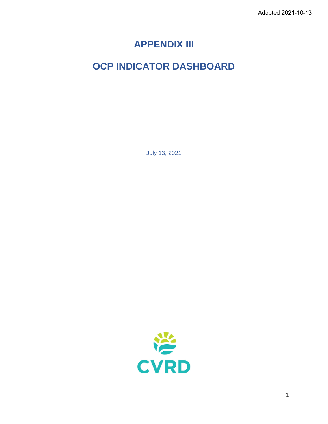# **APPENDIX III**

# **OCP INDICATOR DASHBOARD**

July 13, 2021

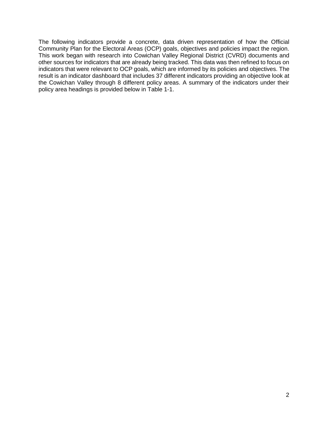The following indicators provide a concrete, data driven representation of how the Official Community Plan for the Electoral Areas (OCP) goals, objectives and policies impact the region. This work began with research into Cowichan Valley Regional District (CVRD) documents and other sources for indicators that are already being tracked. This data was then refined to focus on indicators that were relevant to OCP goals, which are informed by its policies and objectives. The result is an indicator dashboard that includes 37 different indicators providing an objective look at the Cowichan Valley through 8 different policy areas. A summary of the indicators under their policy area headings is provided below in Table 1-1.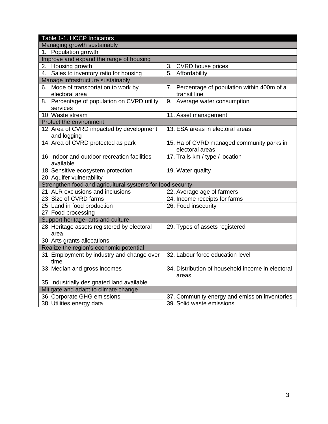| Table 1-1. HOCP Indicators                                 |                                                   |
|------------------------------------------------------------|---------------------------------------------------|
| Managing growth sustainably                                |                                                   |
| 1. Population growth                                       |                                                   |
| Improve and expand the range of housing                    |                                                   |
| 2. Housing growth                                          | 3. CVRD house prices                              |
| 4. Sales to inventory ratio for housing                    | 5.<br>Affordability                               |
| Manage infrastructure sustainably                          |                                                   |
| 6. Mode of transportation to work by                       | 7. Percentage of population within 400m of a      |
| electoral area                                             | transit line                                      |
| 8. Percentage of population on CVRD utility                | 9. Average water consumption                      |
| services                                                   |                                                   |
| 10. Waste stream                                           | 11. Asset management                              |
| Protect the environment                                    |                                                   |
| 12. Area of CVRD impacted by development                   | 13. ESA areas in electoral areas                  |
| and logging                                                |                                                   |
| 14. Area of CVRD protected as park                         | 15. Ha of CVRD managed community parks in         |
|                                                            | electoral areas                                   |
| 16. Indoor and outdoor recreation facilities               | 17. Trails km / type / location                   |
| available                                                  |                                                   |
| 18. Sensitive ecosystem protection                         | 19. Water quality                                 |
| 20. Aquifer vulnerability                                  |                                                   |
| Strengthen food and agricultural systems for food security |                                                   |
| 21. ALR exclusions and inclusions                          | 22. Average age of farmers                        |
| 23. Size of CVRD farms                                     | 24. Income receipts for farms                     |
| 25. Land in food production                                | 26. Food insecurity                               |
| 27. Food processing                                        |                                                   |
| Support heritage, arts and culture                         |                                                   |
| 28. Heritage assets registered by electoral                | 29. Types of assets registered                    |
| area                                                       |                                                   |
| 30. Arts grants allocations                                |                                                   |
| Realize the region's economic potential                    |                                                   |
| 31. Employment by industry and change over                 | 32. Labour force education level                  |
| time                                                       |                                                   |
| 33. Median and gross incomes                               | 34. Distribution of household income in electoral |
|                                                            | areas                                             |
| 35. Industrially designated land available                 |                                                   |
| Mitigate and adapt to climate change                       |                                                   |
| 36. Corporate GHG emissions                                | 37. Community energy and emission inventories     |
| 38. Utilities energy data                                  | 39. Solid waste emissions                         |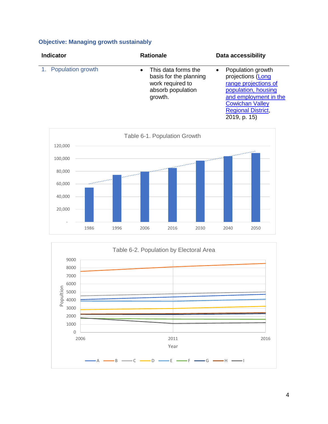# **Objective: Managing growth sustainably**

| <b>Indicator</b>     | <b>Rationale</b>                                                                                               | <b>Data accessibility</b>                                                                                                                                                                          |  |  |  |
|----------------------|----------------------------------------------------------------------------------------------------------------|----------------------------------------------------------------------------------------------------------------------------------------------------------------------------------------------------|--|--|--|
| 1. Population growth | This data forms the<br>$\bullet$<br>basis for the planning<br>work required to<br>absorb population<br>growth. | Population growth<br>$\bullet$<br>projections (Long<br>range projections of<br>population, housing<br>and employment in the<br><b>Cowichan Valley</b><br><b>Regional District,</b><br>2019, p. 15) |  |  |  |



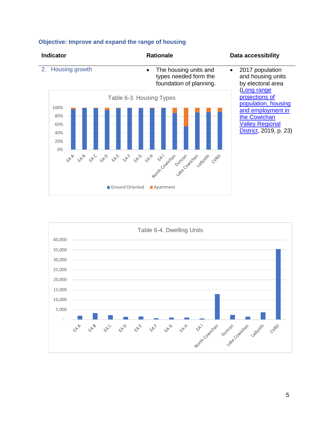

#### **Objective: Improve and expand the range of housing**

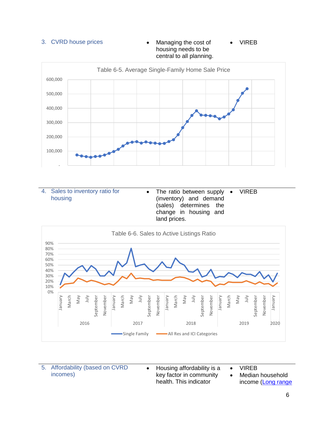



| 4. Sales to inventory ratio for<br>housing | • The ratio between supply • VIREB<br>(inventory) and demand<br>(sales) determines the |  |
|--------------------------------------------|----------------------------------------------------------------------------------------|--|
|                                            | change in housing and<br>land prices.                                                  |  |



| 5. Affordability (based on CVRD |
|---------------------------------|
| incomes)                        |

• Housing affordability is a key factor in community health. This indicator

• VIREB

• Median household income [\(Long range](https://www.cvrd.bc.ca/DocumentCenter/View/94223/Long-Range-Projections-of-Population-Housing-and-Employment)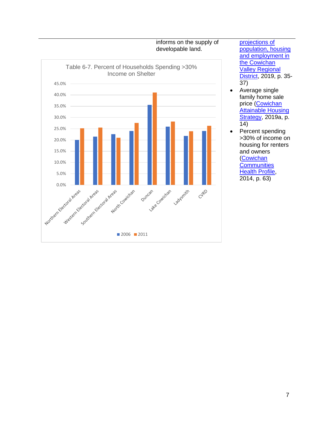

[projections of](https://www.cvrd.bc.ca/DocumentCenter/View/94223/Long-Range-Projections-of-Population-Housing-and-Employment)  [population, housing](https://www.cvrd.bc.ca/DocumentCenter/View/94223/Long-Range-Projections-of-Population-Housing-and-Employment)  [and employment in](https://www.cvrd.bc.ca/DocumentCenter/View/94223/Long-Range-Projections-of-Population-Housing-and-Employment)  the Cowichan [Valley Regional](https://www.cvrd.bc.ca/DocumentCenter/View/94223/Long-Range-Projections-of-Population-Housing-and-Employment)  [District,](https://www.cvrd.bc.ca/DocumentCenter/View/94223/Long-Range-Projections-of-Population-Housing-and-Employment) 2019, p. 35-37)

- Average single family home sale price [\(Cowichan](http://cowichanhousing.com/wp-content/uploads/2019/12/ah_strategy_revised_as_of_april_18_2019.pdf)  **Attainable Housing** [Strategy,](http://cowichanhousing.com/wp-content/uploads/2019/12/ah_strategy_revised_as_of_april_18_2019.pdf) 2019a, p. 14)
- Percent spending >30% of income on housing for renters and owners [\(Cowichan](https://www.ourcchn.ca/files/1314440061-001-R-Rev1_Cowichan%20Communities%20Health%20Profile_01AUG_14.pdf)  **Communities** [Health Profile,](https://www.ourcchn.ca/files/1314440061-001-R-Rev1_Cowichan%20Communities%20Health%20Profile_01AUG_14.pdf) 2014, p. 63)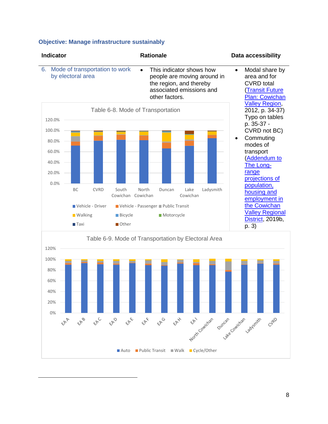#### **Objective: Manage infrastructure sustainably**



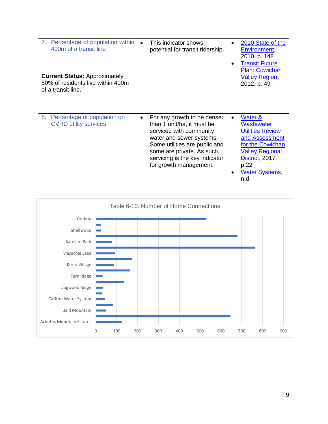| 7. Percentage of population within<br>400m of a transit line<br><b>Current Status: Approximately</b><br>50% of residents live within 400m<br>of a transit line. |           | This indicator shows<br>potential for transit ridership.                                                                                                                                                                                    | 2010 State of the<br>Environment,<br>2010, p. 148<br><b>Transit Future</b><br><b>Plan: Cowichan</b><br><b>Valley Region,</b><br>2012, p. 49                                         |
|-----------------------------------------------------------------------------------------------------------------------------------------------------------------|-----------|---------------------------------------------------------------------------------------------------------------------------------------------------------------------------------------------------------------------------------------------|-------------------------------------------------------------------------------------------------------------------------------------------------------------------------------------|
| 8.<br>Percentage of population on<br><b>CVRD utility services</b>                                                                                               | $\bullet$ | For any growth to be denser<br>than 1 unit/ha, it must be<br>serviced with community<br>water and sewer systems.<br>Some utilities are public and<br>some are private. As such,<br>servicing is the key indicator<br>for growth management. | Water &<br>Wastewater<br><b>Utilities Review</b><br>and Assessment<br>for the Cowichan<br><b>Valley Regional</b><br><b>District, 2017,</b><br>p.22<br><u>Water Systems,</u><br>n.d. |

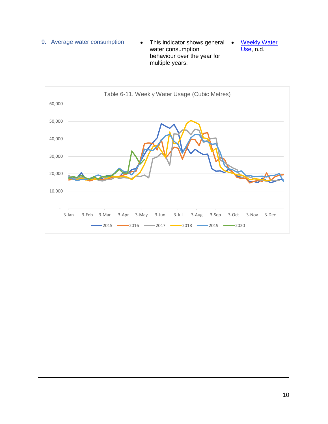9. Average water consumption • This indicator shows general • water consumption behaviour over the year for multiple years. **Weekly Water** [Use,](http://cvrdnewnormalcowichan.ca/total-water-withdrawal/) n.d.

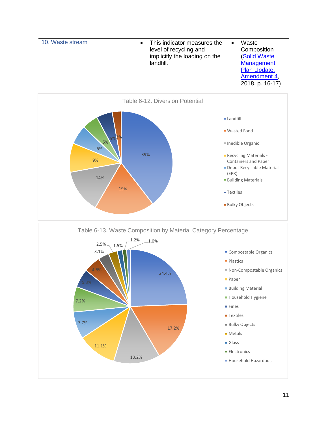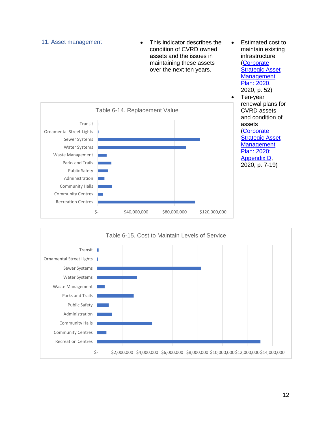

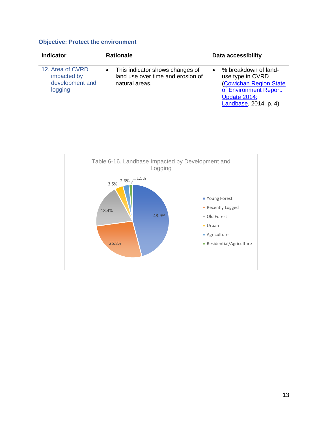## **Objective: Protect the environment**

| <b>Indicator</b>                                              | <b>Rationale</b>                                                                       | Data accessibility                                                                                                                    |
|---------------------------------------------------------------|----------------------------------------------------------------------------------------|---------------------------------------------------------------------------------------------------------------------------------------|
| 12. Area of CVRD<br>impacted by<br>development and<br>logging | This indicator shows changes of<br>land use over time and erosion of<br>natural areas. | % breakdown of land-<br>use type in CVRD<br>(Cowichan Region State<br>of Environment Report:<br>Update 2014:<br>Landbase, 2014, p. 4) |

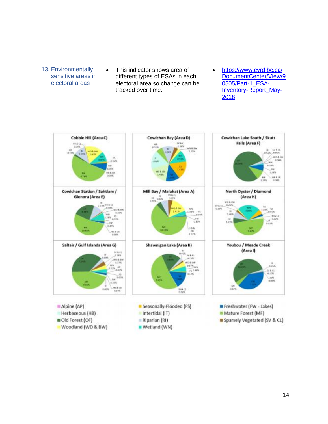13. Environmentally sensitive areas in electoral areas • This indicator shows area of different types of ESAs in each electoral area so change can be tracked over time. • [https://www.cvrd.bc.ca/](https://www.cvrd.bc.ca/DocumentCenter/View/90505/Part-1_ESA-Inventory-Report_May-2018) [DocumentCenter/View/9](https://www.cvrd.bc.ca/DocumentCenter/View/90505/Part-1_ESA-Inventory-Report_May-2018) [0505/Part-1\\_ESA-](https://www.cvrd.bc.ca/DocumentCenter/View/90505/Part-1_ESA-Inventory-Report_May-2018)[Inventory-Report\\_May-](https://www.cvrd.bc.ca/DocumentCenter/View/90505/Part-1_ESA-Inventory-Report_May-2018)[2018](https://www.cvrd.bc.ca/DocumentCenter/View/90505/Part-1_ESA-Inventory-Report_May-2018)

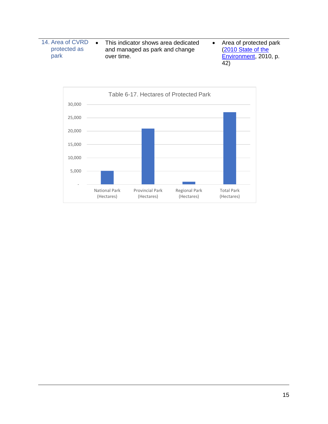14. Area of CVRD protected as park • This indicator shows area dedicated and managed as park and change over time. • Area of protected park [\(2010 State of the](https://www.cvrd.bc.ca/DocumentCenter/View/83149/2010-State-of-Environment-Report?bidId=)  [Environment,](https://www.cvrd.bc.ca/DocumentCenter/View/83149/2010-State-of-Environment-Report?bidId=) 2010, p. 42)

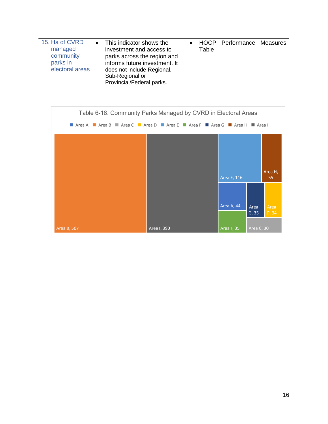| 15. Ha of CVRD<br>managed<br>community<br>parks in<br>electoral areas | • This indicator shows the<br>investment and access to<br>parks across the region and<br>informs future investment. It<br>does not include Regional,<br>Sub-Regional or<br>Provincial/Federal parks. | Table | <b>HOCP Performance Measures</b> |  |
|-----------------------------------------------------------------------|------------------------------------------------------------------------------------------------------------------------------------------------------------------------------------------------------|-------|----------------------------------|--|

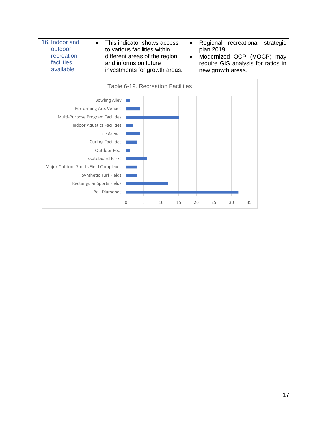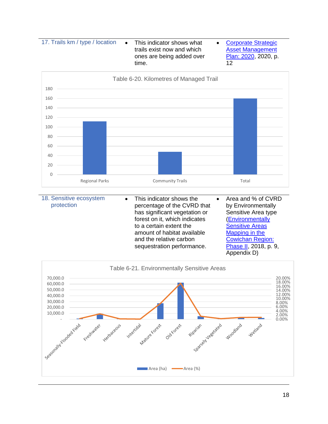17. Trails km / type / location • This indicator shows what

trails exist now and which ones are being added over time.

• [Corporate Strategic](https://www.cvrd.bc.ca/DocumentCenter/View/96479/CVRD-Corporate-Strategic-Asset-Management-Plan)  **Asset Management** [Plan: 2020,](https://www.cvrd.bc.ca/DocumentCenter/View/96479/CVRD-Corporate-Strategic-Asset-Management-Plan) 2020, p. 12



| 18. Sensitive ecosystem<br>protection | This indicator shows the<br>percentage of the CVRD that<br>has significant vegetation or<br>forest on it, which indicates<br>to a certain extent the<br>amount of habitat available<br>and the relative carbon<br>sequestration performance. | Area and % of CVRD<br>by Environmentally<br>Sensitive Area type<br>(Environmentally<br><b>Sensitive Areas</b><br>Mapping in the<br><b>Cowichan Region:</b><br>Phase II, 2018, p. 9, |
|---------------------------------------|----------------------------------------------------------------------------------------------------------------------------------------------------------------------------------------------------------------------------------------------|-------------------------------------------------------------------------------------------------------------------------------------------------------------------------------------|
|                                       |                                                                                                                                                                                                                                              | Appendix D)                                                                                                                                                                         |

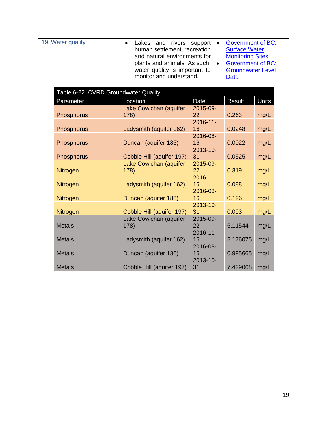19. Water quality **•** Lakes and rivers support • human settlement, recreation and natural environments for plants and animals. As such, • water quality is important to monitor and understand.

- Government of BC: **Surface Water [Monitoring Sites](https://governmentofbc.maps.arcgis.com/apps/webappviewer/index.html?id=0ecd608e27ec45cd923bdcfeefba00a7)** Government of BC:
- [Groundwater Level](https://governmentofbc.maps.arcgis.com/apps/webappviewer/index.html?id=b53cb0bf3f6848e79d66ffd09b74f00d)  **[Data](https://governmentofbc.maps.arcgis.com/apps/webappviewer/index.html?id=b53cb0bf3f6848e79d66ffd09b74f00d)**

| Table 6-22. CVRD Groundwater Quality |                           |                   |          |       |
|--------------------------------------|---------------------------|-------------------|----------|-------|
| Parameter                            | Location                  | Date              | Result   | Units |
|                                      | Lake Cowichan (aquifer    | 2015-09-          |          |       |
| <b>Phosphorus</b>                    | 178)                      | 22                | 0.263    | mg/L  |
| <b>Phosphorus</b>                    | Ladysmith (aquifer 162)   | $2016 - 11$<br>16 | 0.0248   | mg/L  |
|                                      |                           | 2016-08-          |          |       |
| Phosphorus                           | Duncan (aquifer 186)      | 16                | 0.0022   | mg/L  |
|                                      |                           | $2013 - 10 -$     |          |       |
| Phosphorus                           | Cobble Hill (aquifer 197) | 31                | 0.0525   | mg/L  |
|                                      | Lake Cowichan (aquifer    | 2015-09-          |          |       |
| <b>Nitrogen</b>                      | 178)                      | 22                | 0.319    | mg/L  |
|                                      |                           | $2016 - 11$       |          |       |
| <b>Nitrogen</b>                      | Ladysmith (aquifer 162)   | 16                | 0.088    | mg/L  |
|                                      |                           | 2016-08-          |          |       |
| <b>Nitrogen</b>                      | Duncan (aquifer 186)      | 16                | 0.126    | mg/L  |
|                                      |                           | $2013 - 10 -$     |          |       |
| <b>Nitrogen</b>                      | Cobble Hill (aquifer 197) | 31                | 0.093    | mg/L  |
|                                      | Lake Cowichan (aquifer    | 2015-09-          |          |       |
| <b>Metals</b>                        | 178)                      | 22                | 6.11544  | mg/L  |
|                                      |                           | $2016 - 11$       |          |       |
| <b>Metals</b>                        | Ladysmith (aquifer 162)   | 16                | 2.176075 | mg/L  |
|                                      |                           | 2016-08-          |          |       |
| <b>Metals</b>                        | Duncan (aquifer 186)      | 16                | 0.995665 | mg/L  |
|                                      |                           | 2013-10-          |          |       |
| <b>Metals</b>                        | Cobble Hill (aquifer 197) | 31                | 7.429068 | mg/L  |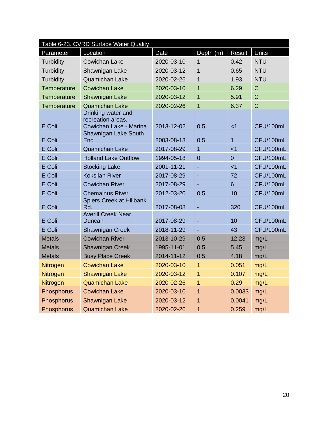| Table 6-23. CVRD Surface Water Quality |                                                                   |            |                |                |                |
|----------------------------------------|-------------------------------------------------------------------|------------|----------------|----------------|----------------|
| Parameter                              | Location                                                          | Date       | Depth (m)      | Result         | Units          |
| Turbidity                              | <b>Cowichan Lake</b>                                              | 2020-03-10 | 1              | 0.42           | <b>NTU</b>     |
| Turbidity                              | Shawnigan Lake                                                    | 2020-03-12 | $\mathbf{1}$   | 0.65           | <b>NTU</b>     |
| <b>Turbidity</b>                       | Quamichan Lake                                                    | 2020-02-26 | 1              | 1.93           | <b>NTU</b>     |
| Temperature                            | <b>Cowichan Lake</b>                                              | 2020-03-10 | $\overline{1}$ | 6.29           | $\mathbf C$    |
| Temperature                            | Shawnigan Lake                                                    | 2020-03-12 | $\overline{1}$ | 5.91           | $\overline{C}$ |
| Temperature                            | <b>Quamichan Lake</b>                                             | 2020-02-26 | 1              | 6.37           | $\overline{C}$ |
| E Coli                                 | Drinking water and<br>recreation areas.<br>Cowichan Lake - Marina | 2013-12-02 | 0.5            | < 1            | CFU/100mL      |
| E Coli                                 | Shawnigan Lake South<br>End                                       | 2003-08-13 | 0.5            | $\overline{1}$ | CFU/100mL      |
| E Coli                                 | <b>Quamichan Lake</b>                                             | 2017-08-29 | $\overline{1}$ | < 1            | CFU/100mL      |
| E Coli                                 | <b>Holland Lake Outflow</b>                                       | 1994-05-18 | $\overline{0}$ | $\overline{0}$ | CFU/100mL      |
| E Coli                                 | <b>Stocking Lake</b>                                              | 2001-11-21 | Ξ              | < 1            | CFU/100mL      |
| E Coli                                 | <b>Koksilah River</b>                                             | 2017-08-29 | ÷,             | 72             | CFU/100mL      |
| E Coli                                 | <b>Cowichan River</b>                                             | 2017-08-29 |                | 6              | CFU/100mL      |
| E Coli                                 | <b>Chemainus River</b>                                            | 2012-03-20 | 0.5            | 10             | CFU/100mL      |
| E Coli                                 | Spiers Creek at Hillbank<br>Rd.                                   | 2017-08-08 |                | 320            | CFU/100mL      |
| E Coli                                 | <b>Averill Creek Near</b><br>Duncan                               | 2017-08-29 |                | 10             | CFU/100mL      |
| E Coli                                 | <b>Shawnigan Creek</b>                                            | 2018-11-29 |                | 43             | CFU/100mL      |
| <b>Metals</b>                          | <b>Cowichan River</b>                                             | 2013-10-29 | 0.5            | 12.23          | mg/L           |
| <b>Metals</b>                          | <b>Shawnigan Creek</b>                                            | 1995-11-01 | 0.5            | 5.45           | mg/L           |
| <b>Metals</b>                          | <b>Busy Place Creek</b>                                           | 2014-11-12 | 0.5            | 4.18           | mg/L           |
| Nitrogen                               | <b>Cowichan Lake</b>                                              | 2020-03-10 | 1              | 0.051          | mg/L           |
| Nitrogen                               | <b>Shawnigan Lake</b>                                             | 2020-03-12 | $\mathbf{1}$   | 0.107          | mg/L           |
| Nitrogen                               | <b>Quamichan Lake</b>                                             | 2020-02-26 | 1              | 0.29           | mg/L           |
| Phosphorus                             | <b>Cowichan Lake</b>                                              | 2020-03-10 | $\overline{1}$ | 0.0033         | mg/L           |
| Phosphorus                             | Shawnigan Lake                                                    | 2020-03-12 | 1              | 0.0041         | mg/L           |
| Phosphorus                             | <b>Quamichan Lake</b>                                             | 2020-02-26 | 1              | 0.259          | mg/L           |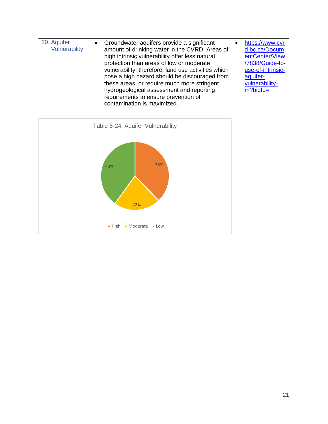| 20. Aquifer<br>Vulnerability | • Groundwater aquifers provide a significant<br>amount of drinking water in the CVRD. Areas of<br>high intrinsic vulnerability offer less natural<br>protection than areas of low or moderate<br>vulnerability; therefore, land use activities which<br>pose a high hazard should be discouraged from<br>these areas, or require much more stringent<br>hydrogeological assessment and reporting<br>requirements to ensure prevention of<br>contamination is maximized. | https://www.cvr<br>d.bc.ca/Docum<br>entCenter/View<br>/7838/Guide-to-<br>use-of-intrinsic-<br>aquifer-<br>vulnerability-<br>$m?$ bidld= |
|------------------------------|-------------------------------------------------------------------------------------------------------------------------------------------------------------------------------------------------------------------------------------------------------------------------------------------------------------------------------------------------------------------------------------------------------------------------------------------------------------------------|-----------------------------------------------------------------------------------------------------------------------------------------|

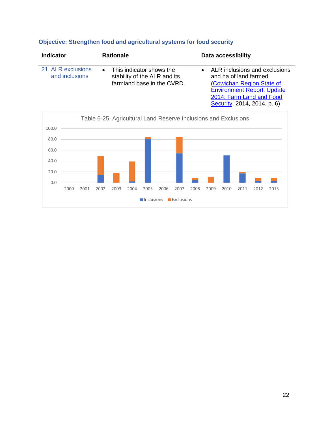# **Objective: Strengthen food and agricultural systems for food security**

| <b>Indicator</b>                     | <b>Rationale</b>                                                                         | <b>Data accessibility</b>                                                                                                                            |
|--------------------------------------|------------------------------------------------------------------------------------------|------------------------------------------------------------------------------------------------------------------------------------------------------|
| 21. ALR exclusions<br>and inclusions | • This indicator shows the<br>stability of the ALR and its<br>farmland base in the CVRD. | ALR inclusions and exclusions<br>and ha of land farmed<br>(Cowichan Region State of<br><b>Environment Report: Update</b><br>2014: Farm Land and Food |

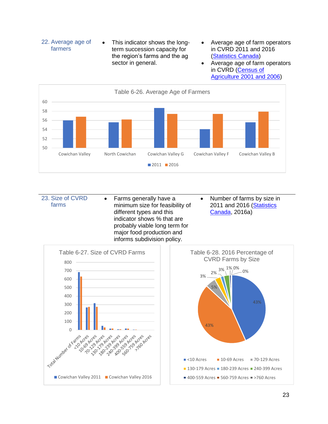

- Average age of farm operators in CVRD 2011 and 2016 [\(Statistics Canada\)](https://www150.statcan.gc.ca/t1/tbl1/en/tv.action?pid=3210044201)
- Average age of farm operators in CVRD (Census of [Agriculture 2001 and 2006\)](https://www150.statcan.gc.ca/n1/pub/95-629-x/8/4124836-eng.htm#59)



23. Size of CVRD farms • Farms generally have a minimum size for feasibility of different types and this indicator shows % that are probably viable long term for major food production and informs subdivision policy. • Number of farms by size in 2011 and 2016 (Statistics [Canada,](https://www150.statcan.gc.ca/t1/tbl1/en/tv.action?pid=3210040401) 2016a)

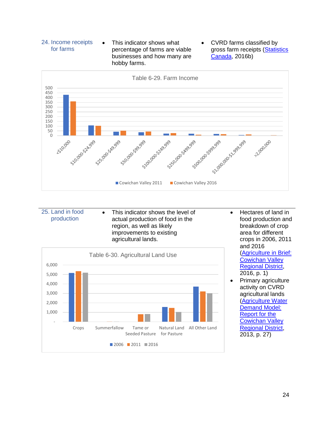### 24. Income receipts for farms

• This indicator shows what percentage of farms are viable businesses and how many are hobby farms.

• CVRD farms classified by gross farm receipts [\(Statistics](https://www150.statcan.gc.ca/t1/tbl1/en/tv.action?pid=3210043601)  [Canada,](https://www150.statcan.gc.ca/t1/tbl1/en/tv.action?pid=3210043601) 2016b)



- 25. Land in food production
- This indicator shows the level of actual production of food in the region, as well as likely improvements to existing agricultural lands.



- Hectares of land in food production and breakdown of crop area for different crops in 2006, 2011 and 2016 [\(Agriculture in Brief:](https://www2.gov.bc.ca/assets/gov/farming-natural-resources-and-industry/agriculture-and-seafood/statistics/census/census-2016/aginbrief_2016_cowichan_valley.pdf)  [Cowichan Valley](https://www2.gov.bc.ca/assets/gov/farming-natural-resources-and-industry/agriculture-and-seafood/statistics/census/census-2016/aginbrief_2016_cowichan_valley.pdf)  [Regional District,](https://www2.gov.bc.ca/assets/gov/farming-natural-resources-and-industry/agriculture-and-seafood/statistics/census/census-2016/aginbrief_2016_cowichan_valley.pdf) 2016, p. 1)
- Primary agriculture activity on CVRD agricultural lands [\(Agriculture Water](https://www2.gov.bc.ca/assets/gov/farming-natural-resources-and-industry/agriculture-and-seafood/agricultural-land-and-environment/water/agriculture-water-demand-model/500300-8_agriculture_water_demand_model-cowichan_report.pdf)  [Demand Model:](https://www2.gov.bc.ca/assets/gov/farming-natural-resources-and-industry/agriculture-and-seafood/agricultural-land-and-environment/water/agriculture-water-demand-model/500300-8_agriculture_water_demand_model-cowichan_report.pdf)  [Report for the](https://www2.gov.bc.ca/assets/gov/farming-natural-resources-and-industry/agriculture-and-seafood/agricultural-land-and-environment/water/agriculture-water-demand-model/500300-8_agriculture_water_demand_model-cowichan_report.pdf)  [Cowichan Valley](https://www2.gov.bc.ca/assets/gov/farming-natural-resources-and-industry/agriculture-and-seafood/agricultural-land-and-environment/water/agriculture-water-demand-model/500300-8_agriculture_water_demand_model-cowichan_report.pdf)  [Regional District,](https://www2.gov.bc.ca/assets/gov/farming-natural-resources-and-industry/agriculture-and-seafood/agricultural-land-and-environment/water/agriculture-water-demand-model/500300-8_agriculture_water_demand_model-cowichan_report.pdf) 2013, p. 27)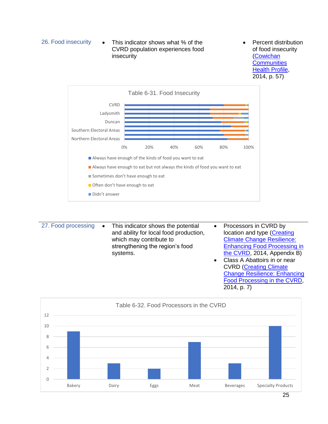

• Percent distribution of food insecurity [\(Cowichan](https://www.ourcchn.ca/files/1314440061-001-R-Rev1_Cowichan%20Communities%20Health%20Profile_01AUG_14.pdf)  **Communities [Health Profile,](https://www.ourcchn.ca/files/1314440061-001-R-Rev1_Cowichan%20Communities%20Health%20Profile_01AUG_14.pdf)** 2014, p. 57)



27. Food processing • This indicator shows the potential and ability for local food production, which may contribute to strengthening the region's food systems. • Processors in CVRD by location and type [\(Creating](https://www.bcagclimateaction.ca/wp/wp-content/media/CW05-Enhancing-Food-Processing-CVRD-2014.pdf)  [Climate Change Resilience:](https://www.bcagclimateaction.ca/wp/wp-content/media/CW05-Enhancing-Food-Processing-CVRD-2014.pdf)  [Enhancing Food Processing in](https://www.bcagclimateaction.ca/wp/wp-content/media/CW05-Enhancing-Food-Processing-CVRD-2014.pdf)  [the CVRD,](https://www.bcagclimateaction.ca/wp/wp-content/media/CW05-Enhancing-Food-Processing-CVRD-2014.pdf) 2014, Appendix B) • Class A Abattoirs in or near CVRD [\(Creating Climate](https://www.bcagclimateaction.ca/wp/wp-content/media/CW05-Enhancing-Food-Processing-CVRD-2014.pdf)  [Change Resilience: Enhancing](https://www.bcagclimateaction.ca/wp/wp-content/media/CW05-Enhancing-Food-Processing-CVRD-2014.pdf) 



[Food Processing in the CVRD,](https://www.bcagclimateaction.ca/wp/wp-content/media/CW05-Enhancing-Food-Processing-CVRD-2014.pdf)

2014, p. 7)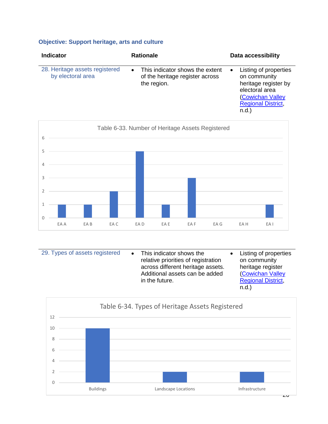# **Objective: Support heritage, arts and culture**

| <b>Indicator</b>                                    | <b>Rationale</b>                                                                               | Data accessibility                                                                                                                                        |
|-----------------------------------------------------|------------------------------------------------------------------------------------------------|-----------------------------------------------------------------------------------------------------------------------------------------------------------|
| 28. Heritage assets registered<br>by electoral area | This indicator shows the extent<br>$\bullet$<br>of the heritage register across<br>the region. | Listing of properties<br>$\bullet$<br>on community<br>heritage register by<br>electoral area<br>(Cowichan Valley<br><b>Regional District.</b><br>$n.d.$ ) |



| 29. Types of assets registered | This indicator shows the<br>relative priorities of registration<br>across different heritage assets.<br>Additional assets can be added<br>in the future. | Listing of properties<br>on community<br>heritage register<br><b>(Cowichan Valley</b><br><b>Regional District,</b><br>$n.d.$ ) |
|--------------------------------|----------------------------------------------------------------------------------------------------------------------------------------------------------|--------------------------------------------------------------------------------------------------------------------------------|
|                                |                                                                                                                                                          |                                                                                                                                |

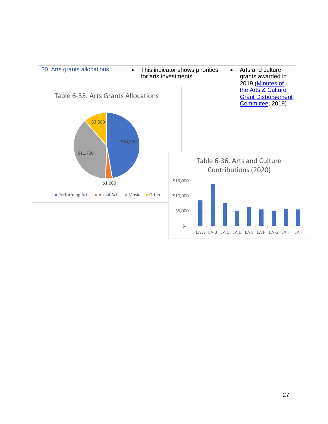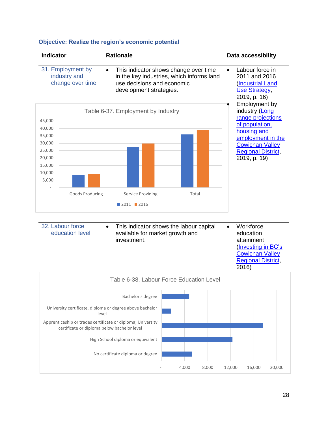

No certificate diploma or degree

#### **Objective: Realize the region's economic potential**

- 4,000 8,000 12,000 16,000 20,000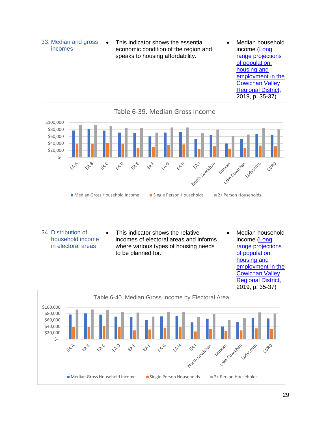- 33. Median and gross incomes
- This indicator shows the essential economic condition of the region and speaks to housing affordability.
- Median household income [\(Long](https://www.cvrd.bc.ca/DocumentCenter/View/94223/Long-Range-Projections-of-Population-Housing-and-Employment)  [range projections](https://www.cvrd.bc.ca/DocumentCenter/View/94223/Long-Range-Projections-of-Population-Housing-and-Employment)  [of population,](https://www.cvrd.bc.ca/DocumentCenter/View/94223/Long-Range-Projections-of-Population-Housing-and-Employment)  [housing and](https://www.cvrd.bc.ca/DocumentCenter/View/94223/Long-Range-Projections-of-Population-Housing-and-Employment)  [employment in the](https://www.cvrd.bc.ca/DocumentCenter/View/94223/Long-Range-Projections-of-Population-Housing-and-Employment)  [Cowichan Valley](https://www.cvrd.bc.ca/DocumentCenter/View/94223/Long-Range-Projections-of-Population-Housing-and-Employment)  [Regional District,](https://www.cvrd.bc.ca/DocumentCenter/View/94223/Long-Range-Projections-of-Population-Housing-and-Employment) 2019, p. 35-37)



34. Distribution of household income in electoral areas • This indicator shows the relative incomes of electoral areas and informs where various types of housing needs to be planned for. • Median household income [\(Long](https://www.cvrd.bc.ca/DocumentCenter/View/94223/Long-Range-Projections-of-Population-Housing-and-Employment)  [range projections](https://www.cvrd.bc.ca/DocumentCenter/View/94223/Long-Range-Projections-of-Population-Housing-and-Employment)  [of population,](https://www.cvrd.bc.ca/DocumentCenter/View/94223/Long-Range-Projections-of-Population-Housing-and-Employment)  [housing and](https://www.cvrd.bc.ca/DocumentCenter/View/94223/Long-Range-Projections-of-Population-Housing-and-Employment)  [employment in the](https://www.cvrd.bc.ca/DocumentCenter/View/94223/Long-Range-Projections-of-Population-Housing-and-Employment)  [Cowichan Valley](https://www.cvrd.bc.ca/DocumentCenter/View/94223/Long-Range-Projections-of-Population-Housing-and-Employment) 

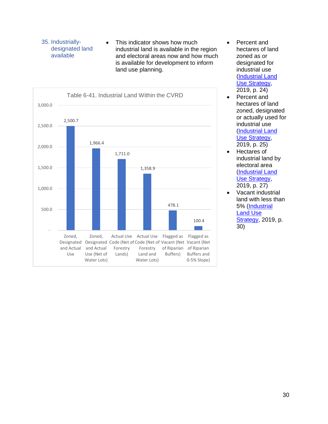### 35. Industriallydesignated land available

• This indicator shows how much industrial land is available in the region and electoral areas now and how much is available for development to inform land use planning.



- Percent and hectares of land zoned as or designated for industrial use [\(Industrial Land](https://www.ecdevcowichan.com/wp-content/uploads/March-18-Final-Draft-Industrial-Land-Use-Strategy-Copy.pdf)  [Use Strategy,](https://www.ecdevcowichan.com/wp-content/uploads/March-18-Final-Draft-Industrial-Land-Use-Strategy-Copy.pdf) 2019, p. 24)
- Percent and hectares of land zoned, designated or actually used for industrial use [\(Industrial Land](https://www.ecdevcowichan.com/wp-content/uploads/March-18-Final-Draft-Industrial-Land-Use-Strategy-Copy.pdf)  [Use Strategy,](https://www.ecdevcowichan.com/wp-content/uploads/March-18-Final-Draft-Industrial-Land-Use-Strategy-Copy.pdf) 2019, p. 25)
- Hectares of industrial land by electoral area [\(Industrial Land](https://www.ecdevcowichan.com/wp-content/uploads/March-18-Final-Draft-Industrial-Land-Use-Strategy-Copy.pdf)  [Use Strategy,](https://www.ecdevcowichan.com/wp-content/uploads/March-18-Final-Draft-Industrial-Land-Use-Strategy-Copy.pdf) 2019, p. 27)
- Vacant industrial land with less than 5% [\(Industrial](https://www.ecdevcowichan.com/wp-content/uploads/March-18-Final-Draft-Industrial-Land-Use-Strategy-Copy.pdf)  [Land Use](https://www.ecdevcowichan.com/wp-content/uploads/March-18-Final-Draft-Industrial-Land-Use-Strategy-Copy.pdf)  **Strategy**, 2019, p. 30)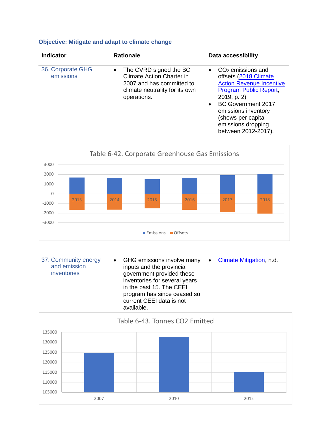# **Objective: Mitigate and adapt to climate change**

| <b>Indicator</b>               | <b>Rationale</b>                                                                                                                           | <b>Data accessibility</b>                                                                                                                                                                                                                                                |
|--------------------------------|--------------------------------------------------------------------------------------------------------------------------------------------|--------------------------------------------------------------------------------------------------------------------------------------------------------------------------------------------------------------------------------------------------------------------------|
| 36. Corporate GHG<br>emissions | • The CVRD signed the BC<br><b>Climate Action Charter in</b><br>2007 and has committed to<br>climate neutrality for its own<br>operations. | $CO2$ emissions and<br>$\bullet$<br>offsets (2018 Climate<br><b>Action Revenue Incentive</b><br>Program Public Report,<br>2019, p. 2)<br><b>BC Government 2017</b><br>$\bullet$<br>emissions inventory<br>(shows per capita<br>emissions dropping<br>between 2012-2017). |



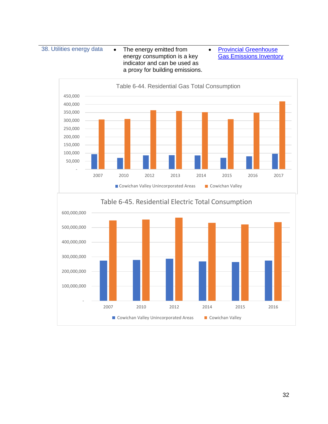38. Utilities energy data • The energy emitted from energy consumption is a key indicator and can be used as a proxy for building emissions.

• [Provincial Greenhouse](https://www2.gov.bc.ca/gov/content/environment/climate-change/data/provincial-inventory)  [Gas Emissions Inventory](https://www2.gov.bc.ca/gov/content/environment/climate-change/data/provincial-inventory)